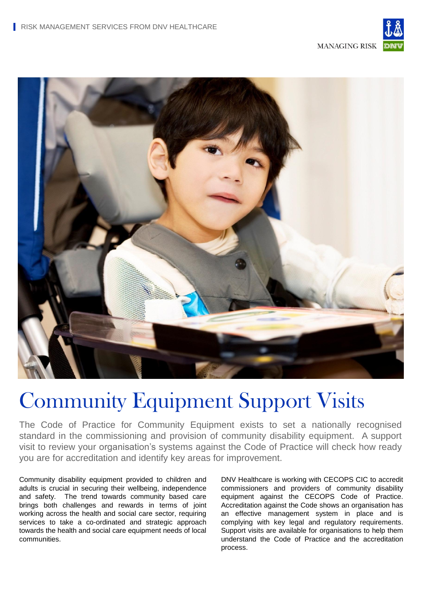

**MANAGING RISK** 



# Community Equipment Support Visits

The Code of Practice for Community Equipment exists to set a nationally recognised standard in the commissioning and provision of community disability equipment. A support visit to review your organisation's systems against the Code of Practice will check how ready you are for accreditation and identify key areas for improvement.

Community disability equipment provided to children and adults is crucial in securing their wellbeing, independence and safety. The trend towards community based care brings both challenges and rewards in terms of joint working across the health and social care sector, requiring services to take a co-ordinated and strategic approach towards the health and social care equipment needs of local communities.

DNV Healthcare is working with CECOPS CIC to accredit commissioners and providers of community disability equipment against the CECOPS Code of Practice. Accreditation against the Code shows an organisation has an effective management system in place and is complying with key legal and regulatory requirements. Support visits are available for organisations to help them understand the Code of Practice and the accreditation process.